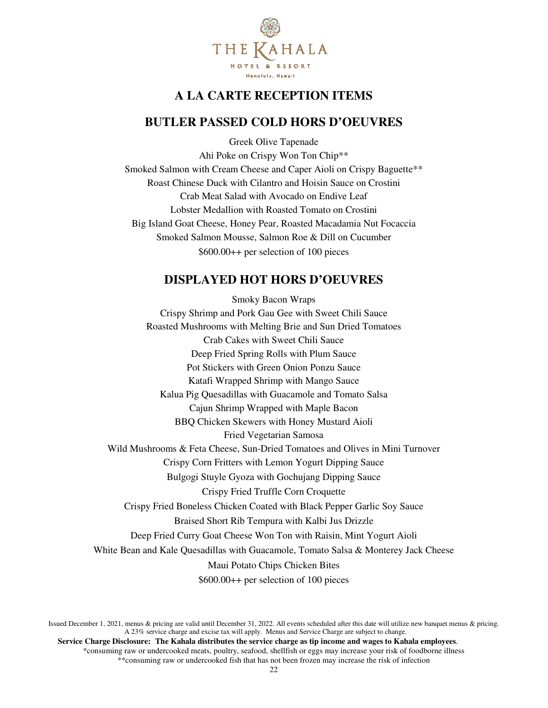

# **A LA CARTE RECEPTION ITEMS**

## **BUTLER PASSED COLD HORS D'OEUVRES**

Greek Olive Tapenade Ahi Poke on Crispy Won Ton Chip\*\* Smoked Salmon with Cream Cheese and Caper Aioli on Crispy Baguette<sup>\*\*</sup> Roast Chinese Duck with Cilantro and Hoisin Sauce on Crostini Crab Meat Salad with Avocado on Endive Leaf Lobster Medallion with Roasted Tomato on Crostini Big Island Goat Cheese, Honey Pear, Roasted Macadamia Nut Focaccia Smoked Salmon Mousse, Salmon Roe & Dill on Cucumber \$600.00++ per selection of 100 pieces

### **DISPLAYED HOT HORS D'OEUVRES**

Smoky Bacon Wraps Crispy Shrimp and Pork Gau Gee with Sweet Chili Sauce Roasted Mushrooms with Melting Brie and Sun Dried Tomatoes Crab Cakes with Sweet Chili Sauce Deep Fried Spring Rolls with Plum Sauce Pot Stickers with Green Onion Ponzu Sauce Katafi Wrapped Shrimp with Mango Sauce Kalua Pig Quesadillas with Guacamole and Tomato Salsa Cajun Shrimp Wrapped with Maple Bacon BBQ Chicken Skewers with Honey Mustard Aioli Fried Vegetarian Samosa Wild Mushrooms & Feta Cheese, Sun-Dried Tomatoes and Olives in Mini Turnover Crispy Corn Fritters with Lemon Yogurt Dipping Sauce Bulgogi Stuyle Gyoza with Gochujang Dipping Sauce Crispy Fried Truffle Corn Croquette Crispy Fried Boneless Chicken Coated with Black Pepper Garlic Soy Sauce Braised Short Rib Tempura with Kalbi Jus Drizzle Deep Fried Curry Goat Cheese Won Ton with Raisin, Mint Yogurt Aioli White Bean and Kale Quesadillas with Guacamole, Tomato Salsa & Monterey Jack Cheese Maui Potato Chips Chicken Bites \$600.00++ per selection of 100 pieces

Issued December 1, 2021, menus & pricing are valid until December 31, 2022. All events scheduled after this date will utilize new banquet menus & pricing. A 23% service charge and excise tax will apply. Menus and Service Charge are subject to change.  **Service Charge Disclosure: The Kahala distributes the service charge as tip income and wages to Kahala employees**. \*consuming raw or undercooked meats, poultry, seafood, shellfish or eggs may increase your risk of foodborne illness \*\*consuming raw or undercooked fish that has not been frozen may increase the risk of infection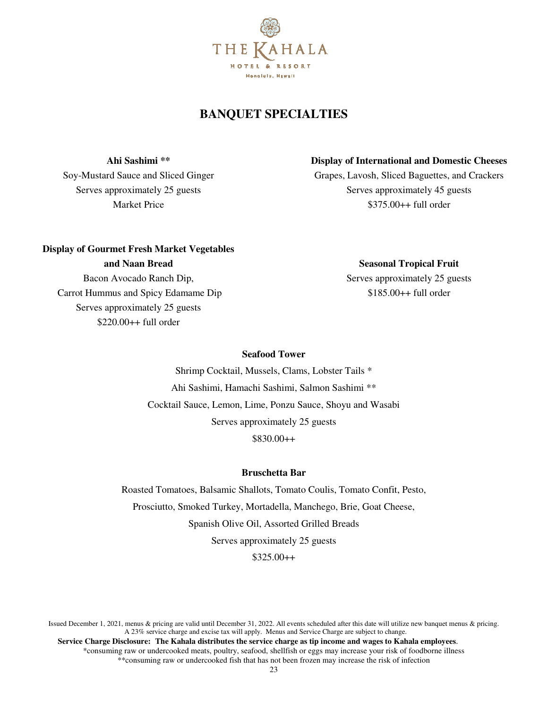

## **BANQUET SPECIALTIES**

**Ahi Sashimi \*\*** 

Soy-Mustard Sauce and Sliced Ginger Serves approximately 25 guests Market Price

#### **Display of International and Domestic Cheeses**

Grapes, Lavosh, Sliced Baguettes, and Crackers Serves approximately 45 guests \$375.00++ full order

### **Display of Gourmet Fresh Market Vegetables**

**and Naan Bread** 

Bacon Avocado Ranch Dip, Carrot Hummus and Spicy Edamame Dip Serves approximately 25 guests \$220.00++ full order

**Seasonal Tropical Fruit**  Serves approximately 25 guests

\$185.00++ full order

#### **Seafood Tower**

Shrimp Cocktail, Mussels, Clams, Lobster Tails \* Ahi Sashimi, Hamachi Sashimi, Salmon Sashimi \*\* Cocktail Sauce, Lemon, Lime, Ponzu Sauce, Shoyu and Wasabi Serves approximately 25 guests \$830.00++

#### **Bruschetta Bar**

Roasted Tomatoes, Balsamic Shallots, Tomato Coulis, Tomato Confit, Pesto, Prosciutto, Smoked Turkey, Mortadella, Manchego, Brie, Goat Cheese, Spanish Olive Oil, Assorted Grilled Breads Serves approximately 25 guests  $$325.00++$ 

Issued December 1, 2021, menus & pricing are valid until December 31, 2022. All events scheduled after this date will utilize new banquet menus & pricing. A 23% service charge and excise tax will apply. Menus and Service Charge are subject to change.  **Service Charge Disclosure: The Kahala distributes the service charge as tip income and wages to Kahala employees**. \*consuming raw or undercooked meats, poultry, seafood, shellfish or eggs may increase your risk of foodborne illness \*\*consuming raw or undercooked fish that has not been frozen may increase the risk of infection